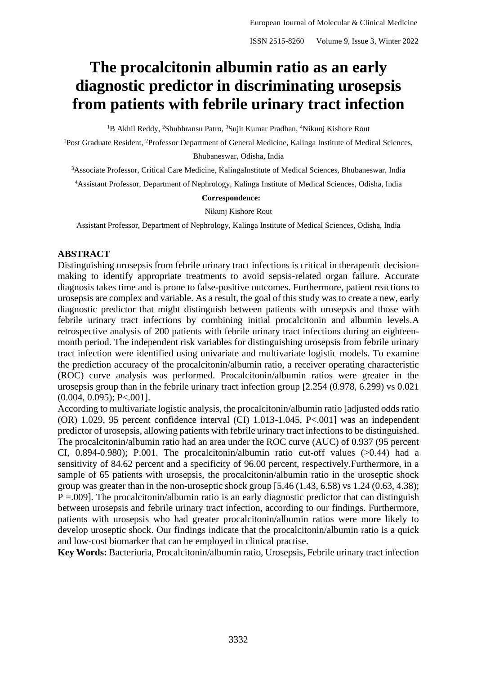# **The procalcitonin albumin ratio as an early diagnostic predictor in discriminating urosepsis from patients with febrile urinary tract infection**

<sup>1</sup>B Akhil Reddy, <sup>2</sup>Shubhransu Patro, <sup>3</sup>Sujit Kumar Pradhan, <sup>4</sup>Nikunj Kishore Rout

<sup>1</sup>Post Graduate Resident, <sup>2</sup>Professor Department of General Medicine, Kalinga Institute of Medical Sciences,

Bhubaneswar, Odisha, India

<sup>3</sup>Associate Professor, Critical Care Medicine, KalingaInstitute of Medical Sciences, Bhubaneswar, India

<sup>4</sup>Assistant Professor, Department of Nephrology, Kalinga Institute of Medical Sciences, Odisha, India

#### **Correspondence:**

Nikunj Kishore Rout

Assistant Professor, Department of Nephrology, Kalinga Institute of Medical Sciences, Odisha, India

#### **ABSTRACT**

Distinguishing urosepsis from febrile urinary tract infections is critical in therapeutic decisionmaking to identify appropriate treatments to avoid sepsis-related organ failure. Accurate diagnosis takes time and is prone to false-positive outcomes. Furthermore, patient reactions to urosepsis are complex and variable. As a result, the goal of this study was to create a new, early diagnostic predictor that might distinguish between patients with urosepsis and those with febrile urinary tract infections by combining initial procalcitonin and albumin levels.A retrospective analysis of 200 patients with febrile urinary tract infections during an eighteenmonth period. The independent risk variables for distinguishing urosepsis from febrile urinary tract infection were identified using univariate and multivariate logistic models. To examine the prediction accuracy of the procalcitonin/albumin ratio, a receiver operating characteristic (ROC) curve analysis was performed. Procalcitonin/albumin ratios were greater in the urosepsis group than in the febrile urinary tract infection group [2.254 (0.978, 6.299) vs 0.021 (0.004, 0.095); P<.001].

According to multivariate logistic analysis, the procalcitonin/albumin ratio [adjusted odds ratio (OR) 1.029, 95 percent confidence interval (CI) 1.013-1.045, P<.001] was an independent predictor of urosepsis, allowing patients with febrile urinary tract infections to be distinguished. The procalcitonin/albumin ratio had an area under the ROC curve (AUC) of 0.937 (95 percent CI, 0.894-0.980); P.001. The procalcitonin/albumin ratio cut-off values (>0.44) had a sensitivity of 84.62 percent and a specificity of 96.00 percent, respectively.Furthermore, in a sample of 65 patients with urosepsis, the procalcitonin/albumin ratio in the uroseptic shock group was greater than in the non-uroseptic shock group [5.46 (1.43, 6.58) vs 1.24 (0.63, 4.38);  $P = 0.009$ . The procalcitonin/albumin ratio is an early diagnostic predictor that can distinguish between urosepsis and febrile urinary tract infection, according to our findings. Furthermore, patients with urosepsis who had greater procalcitonin/albumin ratios were more likely to develop uroseptic shock. Our findings indicate that the procalcitonin/albumin ratio is a quick and low-cost biomarker that can be employed in clinical practise.

**Key Words:** Bacteriuria, Procalcitonin/albumin ratio, Urosepsis, Febrile urinary tract infection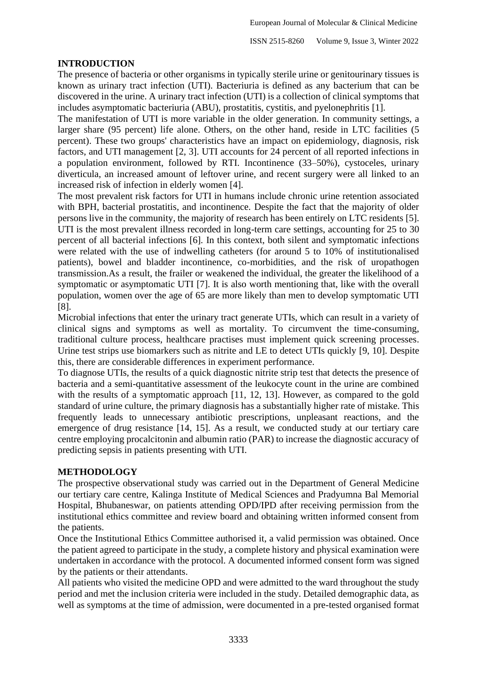## **INTRODUCTION**

The presence of bacteria or other organisms in typically sterile urine or genitourinary tissues is known as urinary tract infection (UTI). Bacteriuria is defined as any bacterium that can be discovered in the urine. A urinary tract infection (UTI) is a collection of clinical symptoms that includes asymptomatic bacteriuria (ABU), prostatitis, cystitis, and pyelonephritis [1].

The manifestation of UTI is more variable in the older generation. In community settings, a larger share (95 percent) life alone. Others, on the other hand, reside in LTC facilities (5 percent). These two groups' characteristics have an impact on epidemiology, diagnosis, risk factors, and UTI management [2, 3]. UTI accounts for 24 percent of all reported infections in a population environment, followed by RTI. Incontinence (33–50%), cystoceles, urinary diverticula, an increased amount of leftover urine, and recent surgery were all linked to an increased risk of infection in elderly women [4].

The most prevalent risk factors for UTI in humans include chronic urine retention associated with BPH, bacterial prostatitis, and incontinence. Despite the fact that the majority of older persons live in the community, the majority of research has been entirely on LTC residents [5]. UTI is the most prevalent illness recorded in long-term care settings, accounting for 25 to 30 percent of all bacterial infections [6]. In this context, both silent and symptomatic infections were related with the use of indwelling catheters (for around 5 to 10% of institutionalised patients), bowel and bladder incontinence, co-morbidities, and the risk of uropathogen transmission.As a result, the frailer or weakened the individual, the greater the likelihood of a symptomatic or asymptomatic UTI [7]. It is also worth mentioning that, like with the overall population, women over the age of 65 are more likely than men to develop symptomatic UTI [8].

Microbial infections that enter the urinary tract generate UTIs, which can result in a variety of clinical signs and symptoms as well as mortality. To circumvent the time-consuming, traditional culture process, healthcare practises must implement quick screening processes. Urine test strips use biomarkers such as nitrite and LE to detect UTIs quickly [9, 10]. Despite this, there are considerable differences in experiment performance.

To diagnose UTIs, the results of a quick diagnostic nitrite strip test that detects the presence of bacteria and a semi-quantitative assessment of the leukocyte count in the urine are combined with the results of a symptomatic approach [11, 12, 13]. However, as compared to the gold standard of urine culture, the primary diagnosis has a substantially higher rate of mistake. This frequently leads to unnecessary antibiotic prescriptions, unpleasant reactions, and the emergence of drug resistance [14, 15]. As a result, we conducted study at our tertiary care centre employing procalcitonin and albumin ratio (PAR) to increase the diagnostic accuracy of predicting sepsis in patients presenting with UTI.

#### **METHODOLOGY**

The prospective observational study was carried out in the Department of General Medicine our tertiary care centre, Kalinga Institute of Medical Sciences and Pradyumna Bal Memorial Hospital, Bhubaneswar, on patients attending OPD/IPD after receiving permission from the institutional ethics committee and review board and obtaining written informed consent from the patients.

Once the Institutional Ethics Committee authorised it, a valid permission was obtained. Once the patient agreed to participate in the study, a complete history and physical examination were undertaken in accordance with the protocol. A documented informed consent form was signed by the patients or their attendants.

All patients who visited the medicine OPD and were admitted to the ward throughout the study period and met the inclusion criteria were included in the study. Detailed demographic data, as well as symptoms at the time of admission, were documented in a pre-tested organised format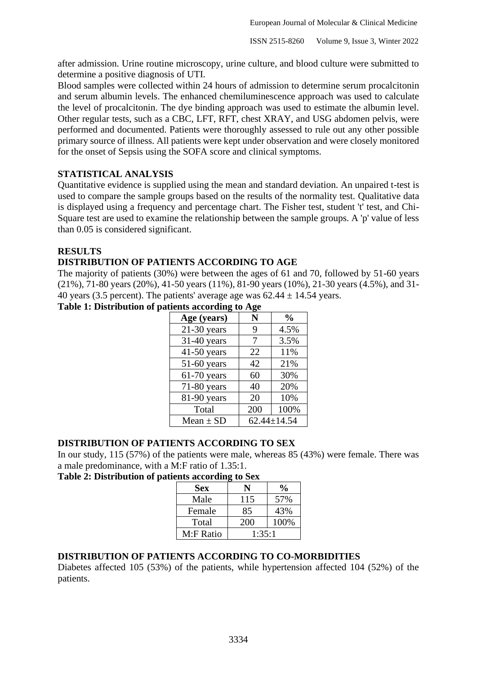after admission. Urine routine microscopy, urine culture, and blood culture were submitted to determine a positive diagnosis of UTI.

Blood samples were collected within 24 hours of admission to determine serum procalcitonin and serum albumin levels. The enhanced chemiluminescence approach was used to calculate the level of procalcitonin. The dye binding approach was used to estimate the albumin level. Other regular tests, such as a CBC, LFT, RFT, chest XRAY, and USG abdomen pelvis, were performed and documented. Patients were thoroughly assessed to rule out any other possible primary source of illness. All patients were kept under observation and were closely monitored for the onset of Sepsis using the SOFA score and clinical symptoms.

# **STATISTICAL ANALYSIS**

Quantitative evidence is supplied using the mean and standard deviation. An unpaired t-test is used to compare the sample groups based on the results of the normality test. Qualitative data is displayed using a frequency and percentage chart. The Fisher test, student 't' test, and Chi-Square test are used to examine the relationship between the sample groups. A 'p' value of less than 0.05 is considered significant.

## **RESULTS**

# **DISTRIBUTION OF PATIENTS ACCORDING TO AGE**

The majority of patients (30%) were between the ages of 61 and 70, followed by 51-60 years (21%), 71-80 years (20%), 41-50 years (11%), 81-90 years (10%), 21-30 years (4.5%), and 31- 40 years (3.5 percent). The patients' average age was  $62.44 \pm 14.54$  years.

|  |  | Table 1: Distribution of patients according to Age |  |
|--|--|----------------------------------------------------|--|

| Age (years)   | N   | $\frac{0}{0}$     |
|---------------|-----|-------------------|
| $21-30$ years | 9   | 4.5%              |
| 31-40 years   | 7   | 3.5%              |
| $41-50$ years | 22  | 11%               |
| $51-60$ years | 42  | 21%               |
| $61-70$ years | 60  | 30%               |
| $71-80$ years | 40  | 20%               |
| 81-90 years   | 20  | 10%               |
| Total         | 200 | 100%              |
| Mean $\pm$ SD |     | $62.44 \pm 14.54$ |

## **DISTRIBUTION OF PATIENTS ACCORDING TO SEX**

In our study, 115 (57%) of the patients were male, whereas 85 (43%) were female. There was a male predominance, with a M:F ratio of 1.35:1.

#### **Table 2: Distribution of patients according to Sex**

| <b>Sex</b> |        | $\frac{6}{10}$ |  |
|------------|--------|----------------|--|
| Male       | 115    | 57%            |  |
| Female     | 85     | 43%            |  |
| Total      | 200    | 100%           |  |
| M:F Ratio  | 1:35:1 |                |  |

## **DISTRIBUTION OF PATIENTS ACCORDING TO CO-MORBIDITIES**

Diabetes affected 105 (53%) of the patients, while hypertension affected 104 (52%) of the patients.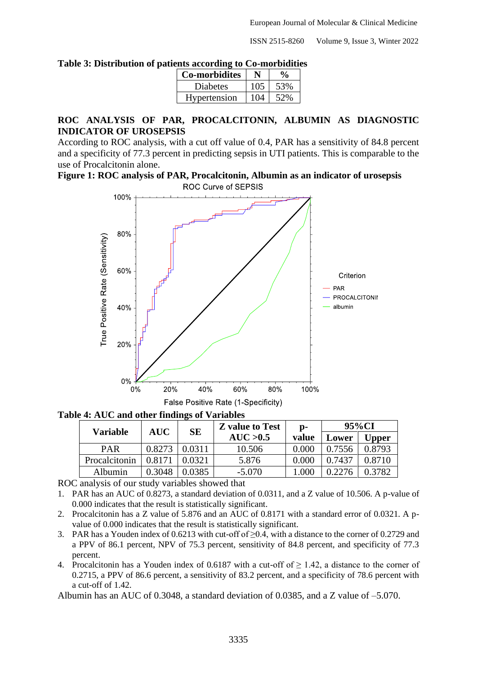ISSN 2515-8260 Volume 9, Issue 3, Winter 2022

| ution of patients according to Co-morbidities |     |                    |  |
|-----------------------------------------------|-----|--------------------|--|
| <b>Co-morbidites</b>                          |     | $\frac{0}{\alpha}$ |  |
| <b>Diabetes</b>                               | 105 | 53%                |  |
| Hypertension                                  | 104 | 52%                |  |

#### **Table 3: Distribution of patients according to Co-morbidities**

## **ROC ANALYSIS OF PAR, PROCALCITONIN, ALBUMIN AS DIAGNOSTIC INDICATOR OF UROSEPSIS**

According to ROC analysis, with a cut off value of 0.4, PAR has a sensitivity of 84.8 percent and a specificity of 77.3 percent in predicting sepsis in UTI patients. This is comparable to the use of Procalcitonin alone.

**Figure 1: ROC analysis of PAR, Procalcitonin, Albumin as an indicator of urosepsis** ROC Curve of SEPSIS



**Table 4: AUC and other findings of Variables**

| <b>Variable</b> | <b>AUC</b> | <b>SE</b> | <b>Z</b> value to Test | p-    | 95%CI  |        |
|-----------------|------------|-----------|------------------------|-------|--------|--------|
|                 |            |           | AUC > 0.5              | value | Lower  | Upper  |
| <b>PAR</b>      | 0.8273     | 0.0311    | 10.506                 | 0.000 | 0.7556 | 0.8793 |
| Procalcitonin   | 0.8171     | 0.0321    | 5.876                  | 0.000 | 0.7437 | 0.8710 |
| Albumin         | 0.3048     | ).0385    | $-5.070$               | .000  |        | 0.3782 |

ROC analysis of our study variables showed that

- 1. PAR has an AUC of 0.8273, a standard deviation of 0.0311, and a Z value of 10.506. A p-value of 0.000 indicates that the result is statistically significant.
- 2. Procalcitonin has a Z value of 5.876 and an AUC of 0.8171 with a standard error of 0.0321. A pvalue of 0.000 indicates that the result is statistically significant.
- 3. PAR has a Youden index of 0.6213 with cut-off of ≥0.4, with a distance to the corner of 0.2729 and a PPV of 86.1 percent, NPV of 75.3 percent, sensitivity of 84.8 percent, and specificity of 77.3 percent.
- 4. Procalcitonin has a Youden index of 0.6187 with a cut-off of  $\geq$  1.42, a distance to the corner of 0.2715, a PPV of 86.6 percent, a sensitivity of 83.2 percent, and a specificity of 78.6 percent with a cut-off of 1.42.

Albumin has an AUC of 0.3048, a standard deviation of 0.0385, and a Z value of –5.070.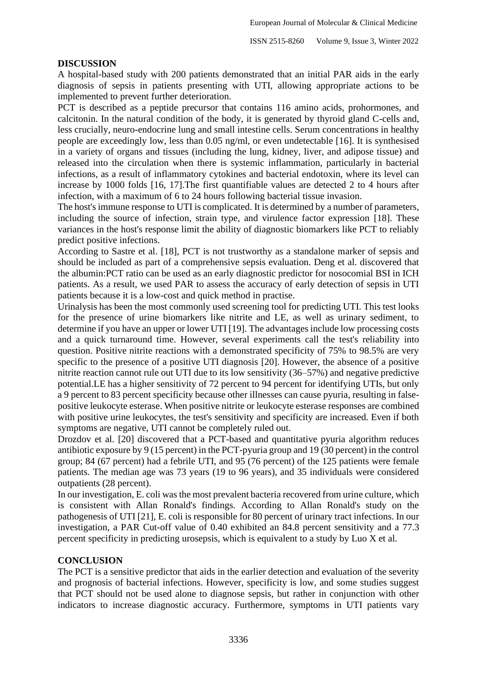#### **DISCUSSION**

A hospital-based study with 200 patients demonstrated that an initial PAR aids in the early diagnosis of sepsis in patients presenting with UTI, allowing appropriate actions to be implemented to prevent further deterioration.

PCT is described as a peptide precursor that contains 116 amino acids, prohormones, and calcitonin. In the natural condition of the body, it is generated by thyroid gland C-cells and, less crucially, neuro-endocrine lung and small intestine cells. Serum concentrations in healthy people are exceedingly low, less than 0.05 ng/ml, or even undetectable [16]. It is synthesised in a variety of organs and tissues (including the lung, kidney, liver, and adipose tissue) and released into the circulation when there is systemic inflammation, particularly in bacterial infections, as a result of inflammatory cytokines and bacterial endotoxin, where its level can increase by 1000 folds [16, 17].The first quantifiable values are detected 2 to 4 hours after infection, with a maximum of 6 to 24 hours following bacterial tissue invasion.

The host's immune response to UTI is complicated. It is determined by a number of parameters, including the source of infection, strain type, and virulence factor expression [18]. These variances in the host's response limit the ability of diagnostic biomarkers like PCT to reliably predict positive infections.

According to Sastre et al. [18], PCT is not trustworthy as a standalone marker of sepsis and should be included as part of a comprehensive sepsis evaluation. Deng et al. discovered that the albumin:PCT ratio can be used as an early diagnostic predictor for nosocomial BSI in ICH patients. As a result, we used PAR to assess the accuracy of early detection of sepsis in UTI patients because it is a low-cost and quick method in practise.

Urinalysis has been the most commonly used screening tool for predicting UTI. This test looks for the presence of urine biomarkers like nitrite and LE, as well as urinary sediment, to determine if you have an upper or lower UTI [19]. The advantages include low processing costs and a quick turnaround time. However, several experiments call the test's reliability into question. Positive nitrite reactions with a demonstrated specificity of 75% to 98.5% are very specific to the presence of a positive UTI diagnosis [20]. However, the absence of a positive nitrite reaction cannot rule out UTI due to its low sensitivity (36–57%) and negative predictive potential.LE has a higher sensitivity of 72 percent to 94 percent for identifying UTIs, but only a 9 percent to 83 percent specificity because other illnesses can cause pyuria, resulting in falsepositive leukocyte esterase. When positive nitrite or leukocyte esterase responses are combined with positive urine leukocytes, the test's sensitivity and specificity are increased. Even if both symptoms are negative, UTI cannot be completely ruled out.

Drozdov et al. [20] discovered that a PCT-based and quantitative pyuria algorithm reduces antibiotic exposure by 9 (15 percent) in the PCT-pyuria group and 19 (30 percent) in the control group; 84 (67 percent) had a febrile UTI, and 95 (76 percent) of the 125 patients were female patients. The median age was 73 years (19 to 96 years), and 35 individuals were considered outpatients (28 percent).

In our investigation, E. coli was the most prevalent bacteria recovered from urine culture, which is consistent with Allan Ronald's findings. According to Allan Ronald's study on the pathogenesis of UTI [21], E. coli is responsible for 80 percent of urinary tract infections. In our investigation, a PAR Cut-off value of 0.40 exhibited an 84.8 percent sensitivity and a 77.3 percent specificity in predicting urosepsis, which is equivalent to a study by Luo X et al.

#### **CONCLUSION**

The PCT is a sensitive predictor that aids in the earlier detection and evaluation of the severity and prognosis of bacterial infections. However, specificity is low, and some studies suggest that PCT should not be used alone to diagnose sepsis, but rather in conjunction with other indicators to increase diagnostic accuracy. Furthermore, symptoms in UTI patients vary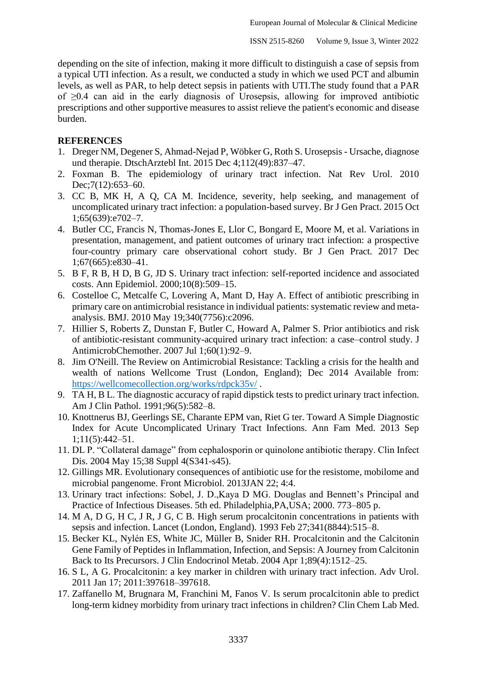depending on the site of infection, making it more difficult to distinguish a case of sepsis from a typical UTI infection. As a result, we conducted a study in which we used PCT and albumin levels, as well as PAR, to help detect sepsis in patients with UTI.The study found that a PAR of ≥0.4 can aid in the early diagnosis of Urosepsis, allowing for improved antibiotic prescriptions and other supportive measures to assist relieve the patient's economic and disease burden.

#### **REFERENCES**

- 1. Dreger NM, Degener S, Ahmad-Nejad P, Wöbker G, Roth S. Urosepsis Ursache, diagnose und therapie. DtschArztebl Int. 2015 Dec 4;112(49):837–47.
- 2. Foxman B. The epidemiology of urinary tract infection. Nat Rev Urol. 2010 Dec;7(12):653–60.
- 3. CC B, MK H, A Q, CA M. Incidence, severity, help seeking, and management of uncomplicated urinary tract infection: a population-based survey. Br J Gen Pract. 2015 Oct 1;65(639):e702–7.
- 4. Butler CC, Francis N, Thomas-Jones E, Llor C, Bongard E, Moore M, et al. Variations in presentation, management, and patient outcomes of urinary tract infection: a prospective four-country primary care observational cohort study. Br J Gen Pract. 2017 Dec 1;67(665):e830–41.
- 5. B F, R B, H D, B G, JD S. Urinary tract infection: self-reported incidence and associated costs. Ann Epidemiol. 2000;10(8):509–15.
- 6. Costelloe C, Metcalfe C, Lovering A, Mant D, Hay A. Effect of antibiotic prescribing in primary care on antimicrobial resistance in individual patients: systematic review and metaanalysis. BMJ. 2010 May 19;340(7756):c2096.
- 7. Hillier S, Roberts Z, Dunstan F, Butler C, Howard A, Palmer S. Prior antibiotics and risk of antibiotic-resistant community-acquired urinary tract infection: a case–control study. J AntimicrobChemother. 2007 Jul 1;60(1):92–9.
- 8. Jim O'Neill. The Review on Antimicrobial Resistance: Tackling a crisis for the health and wealth of nations Wellcome Trust (London, England); Dec 2014 Available from: <https://wellcomecollection.org/works/rdpck35v/> .
- 9. TA H, B L. The diagnostic accuracy of rapid dipstick tests to predict urinary tract infection. Am J Clin Pathol. 1991;96(5):582–8.
- 10. Knottnerus BJ, Geerlings SE, Charante EPM van, Riet G ter. Toward A Simple Diagnostic Index for Acute Uncomplicated Urinary Tract Infections. Ann Fam Med. 2013 Sep 1;11(5):442–51.
- 11. DL P. "Collateral damage" from cephalosporin or quinolone antibiotic therapy. Clin Infect Dis. 2004 May 15;38 Suppl 4(S341-s45).
- 12. Gillings MR. Evolutionary consequences of antibiotic use for the resistome, mobilome and microbial pangenome. Front Microbiol. 2013JAN 22; 4:4.
- 13. Urinary tract infections: Sobel, J. D.,Kaya D MG. Douglas and Bennett's Principal and Practice of Infectious Diseases. 5th ed. Philadelphia,PA,USA; 2000. 773–805 p.
- 14. M A, D G, H C, J R, J G, C B. High serum procalcitonin concentrations in patients with sepsis and infection. Lancet (London, England). 1993 Feb 27;341(8844):515–8.
- 15. Becker KL, Nylén ES, White JC, Müller B, Snider RH. Procalcitonin and the Calcitonin Gene Family of Peptides in Inflammation, Infection, and Sepsis: A Journey from Calcitonin Back to Its Precursors. J Clin Endocrinol Metab. 2004 Apr 1;89(4):1512–25.
- 16. S L, A G. Procalcitonin: a key marker in children with urinary tract infection. Adv Urol. 2011 Jan 17; 2011:397618–397618.
- 17. Zaffanello M, Brugnara M, Franchini M, Fanos V. Is serum procalcitonin able to predict long-term kidney morbidity from urinary tract infections in children? Clin Chem Lab Med.